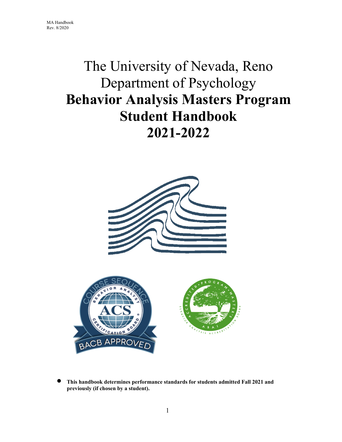# The University of Nevada, Reno Department of Psychology **Behavior Analysis Masters Program Student Handbook 2021-2022**



• **This handbook determines performance standards for students admitted Fall 2021 and previously (if chosen by a student).**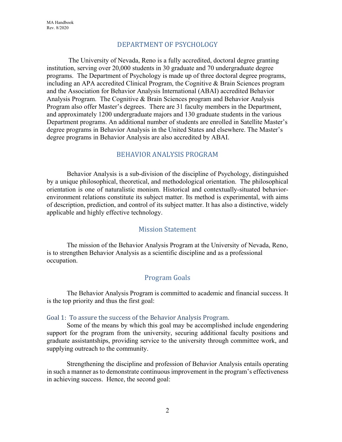## DEPARTMENT OF PSYCHOLOGY

 The University of Nevada, Reno is a fully accredited, doctoral degree granting institution, serving over 20,000 students in 30 graduate and 70 undergraduate degree programs. The Department of Psychology is made up of three doctoral degree programs, including an APA accredited Clinical Program, the Cognitive & Brain Sciences program and the Association for Behavior Analysis International (ABAI) accredited Behavior Analysis Program. The Cognitive & Brain Sciences program and Behavior Analysis Program also offer Master's degrees. There are 31 faculty members in the Department, and approximately 1200 undergraduate majors and 130 graduate students in the various Department programs. An additional number of students are enrolled in Satellite Master's degree programs in Behavior Analysis in the United States and elsewhere. The Master's degree programs in Behavior Analysis are also accredited by ABAI.

## BEHAVIOR ANALYSIS PROGRAM

Behavior Analysis is a sub-division of the discipline of Psychology, distinguished by a unique philosophical, theoretical, and methodological orientation. The philosophical orientation is one of naturalistic monism. Historical and contextually-situated behaviorenvironment relations constitute its subject matter. Its method is experimental, with aims of description, prediction, and control of its subject matter. It has also a distinctive, widely applicable and highly effective technology.

## Mission Statement

The mission of the Behavior Analysis Program at the University of Nevada, Reno, is to strengthen Behavior Analysis as a scientific discipline and as a professional occupation.

## Program Goals

 The Behavior Analysis Program is committed to academic and financial success. It is the top priority and thus the first goal:

#### Goal 1: To assure the success of the Behavior Analysis Program.

Some of the means by which this goal may be accomplished include engendering support for the program from the university, securing additional faculty positions and graduate assistantships, providing service to the university through committee work, and supplying outreach to the community.

Strengthening the discipline and profession of Behavior Analysis entails operating in such a manner as to demonstrate continuous improvement in the program's effectiveness in achieving success. Hence, the second goal: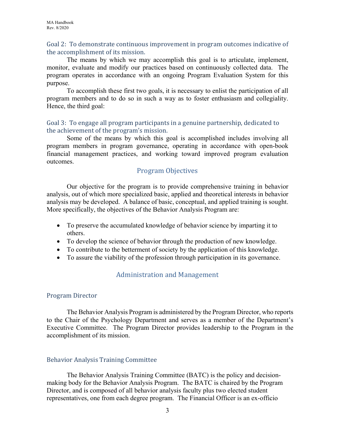## Goal 2: To demonstrate continuous improvement in program outcomes indicative of the accomplishment of its mission.

The means by which we may accomplish this goal is to articulate, implement, monitor, evaluate and modify our practices based on continuously collected data. The program operates in accordance with an ongoing Program Evaluation System for this purpose.

To accomplish these first two goals, it is necessary to enlist the participation of all program members and to do so in such a way as to foster enthusiasm and collegiality. Hence, the third goal:

## Goal 3: To engage all program participants in a genuine partnership, dedicated to the achievement of the program's mission.

Some of the means by which this goal is accomplished includes involving all program members in program governance, operating in accordance with open-book financial management practices, and working toward improved program evaluation outcomes.

# Program Objectives

Our objective for the program is to provide comprehensive training in behavior analysis, out of which more specialized basic, applied and theoretical interests in behavior analysis may be developed. A balance of basic, conceptual, and applied training is sought. More specifically, the objectives of the Behavior Analysis Program are:

- To preserve the accumulated knowledge of behavior science by imparting it to others.
- To develop the science of behavior through the production of new knowledge.
- To contribute to the betterment of society by the application of this knowledge.
- To assure the viability of the profession through participation in its governance.

# Administration and Management

## Program Director

The Behavior Analysis Program is administered by the Program Director, who reports to the Chair of the Psychology Department and serves as a member of the Department's Executive Committee. The Program Director provides leadership to the Program in the accomplishment of its mission.

## Behavior Analysis Training Committee

 The Behavior Analysis Training Committee (BATC) is the policy and decisionmaking body for the Behavior Analysis Program. The BATC is chaired by the Program Director, and is composed of all behavior analysis faculty plus two elected student representatives, one from each degree program. The Financial Officer is an ex-officio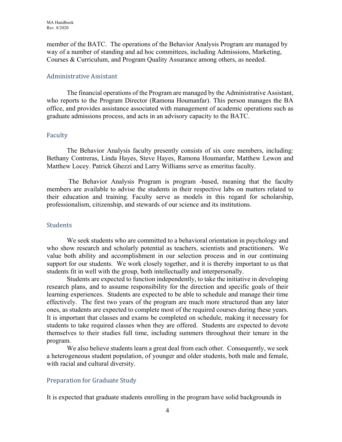member of the BATC. The operations of the Behavior Analysis Program are managed by way of a number of standing and ad hoc committees, including Admissions, Marketing, Courses & Curriculum, and Program Quality Assurance among others, as needed.

## Administrative Assistant

The financial operations of the Program are managed by the Administrative Assistant, who reports to the Program Director (Ramona Houmanfar). This person manages the BA office, and provides assistance associated with management of academic operations such as graduate admissions process, and acts in an advisory capacity to the BATC.

## Faculty

 The Behavior Analysis faculty presently consists of six core members, including: Bethany Contreras, Linda Hayes, Steve Hayes, Ramona Houmanfar, Matthew Lewon and Matthew Locey. Patrick Ghezzi and Larry Williams serve as emeritus faculty.

 The Behavior Analysis Program is program -based, meaning that the faculty members are available to advise the students in their respective labs on matters related to their education and training. Faculty serve as models in this regard for scholarship, professionalism, citizenship, and stewards of our science and its institutions.

## **Students**

We seek students who are committed to a behavioral orientation in psychology and who show research and scholarly potential as teachers, scientists and practitioners. We value both ability and accomplishment in our selection process and in our continuing support for our students. We work closely together, and it is thereby important to us that students fit in well with the group, both intellectually and interpersonally.

Students are expected to function independently, to take the initiative in developing research plans, and to assume responsibility for the direction and specific goals of their learning experiences. Students are expected to be able to schedule and manage their time effectively. The first two years of the program are much more structured than any later ones, as students are expected to complete most of the required courses during these years. It is important that classes and exams be completed on schedule, making it necessary for students to take required classes when they are offered. Students are expected to devote themselves to their studies full time, including summers throughout their tenure in the program.

We also believe students learn a great deal from each other. Consequently, we seek a heterogeneous student population, of younger and older students, both male and female, with racial and cultural diversity.

## Preparation for Graduate Study

It is expected that graduate students enrolling in the program have solid backgrounds in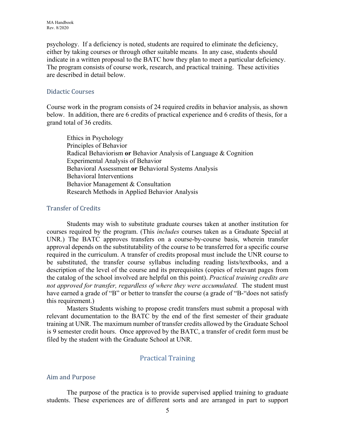psychology. If a deficiency is noted, students are required to eliminate the deficiency, either by taking courses or through other suitable means. In any case, students should indicate in a written proposal to the BATC how they plan to meet a particular deficiency. The program consists of course work, research, and practical training. These activities are described in detail below.

#### Didactic Courses

Course work in the program consists of 24 required credits in behavior analysis, as shown below. In addition, there are 6 credits of practical experience and 6 credits of thesis, for a grand total of 36 credits.

Ethics in Psychology Principles of Behavior Radical Behaviorism **or** Behavior Analysis of Language & Cognition Experimental Analysis of Behavior Behavioral Assessment **or** Behavioral Systems Analysis Behavioral Interventions Behavior Management & Consultation Research Methods in Applied Behavior Analysis

## Transfer of Credits

Students may wish to substitute graduate courses taken at another institution for courses required by the program. (This *includes* courses taken as a Graduate Special at UNR.) The BATC approves transfers on a course-by-course basis, wherein transfer approval depends on the substitutability of the course to be transferred for a specific course required in the curriculum. A transfer of credits proposal must include the UNR course to be substituted, the transfer course syllabus including reading lists/textbooks, and a description of the level of the course and its prerequisites (copies of relevant pages from the catalog of the school involved are helpful on this point). *Practical training credits are not approved for transfer, regardless of where they were accumulated.* The student must have earned a grade of "B" or better to transfer the course (a grade of "B-"does not satisfy this requirement.)

Masters Students wishing to propose credit transfers must submit a proposal with relevant documentation to the BATC by the end of the first semester of their graduate training at UNR. The maximum number of transfer credits allowed by the Graduate School is 9 semester credit hours. Once approved by the BATC, a transfer of credit form must be filed by the student with the Graduate School at UNR.

# Practical Training

## Aim and Purpose

The purpose of the practica is to provide supervised applied training to graduate students. These experiences are of different sorts and are arranged in part to support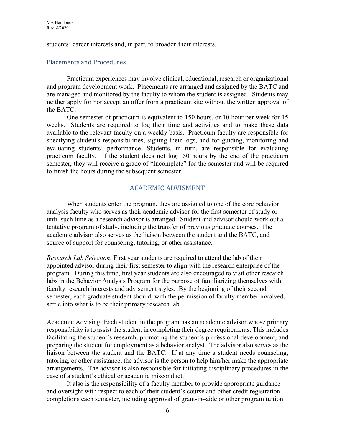students' career interests and, in part, to broaden their interests.

## Placements and Procedures

Practicum experiences may involve clinical, educational, research or organizational and program development work. Placements are arranged and assigned by the BATC and are managed and monitored by the faculty to whom the student is assigned. Students may neither apply for nor accept an offer from a practicum site without the written approval of the BATC.

One semester of practicum is equivalent to 150 hours, or 10 hour per week for 15 weeks. Students are required to log their time and activities and to make these data available to the relevant faculty on a weekly basis. Practicum faculty are responsible for specifying student's responsibilities, signing their logs, and for guiding, monitoring and evaluating students' performance. Students, in turn, are responsible for evaluating practicum faculty. If the student does not log 150 hours by the end of the practicum semester, they will receive a grade of "Incomplete" for the semester and will be required to finish the hours during the subsequent semester.

# ACADEMIC ADVISMENT

 When students enter the program, they are assigned to one of the core behavior analysis faculty who serves as their academic advisor for the first semester of study or until such time as a research advisor is arranged. Student and advisor should work out a tentative program of study, including the transfer of previous graduate courses. The academic advisor also serves as the liaison between the student and the BATC, and source of support for counseling, tutoring, or other assistance.

*Research Lab Selection*. First year students are required to attend the lab of their appointed advisor during their first semester to align with the research enterprise of the program. During this time, first year students are also encouraged to visit other research labs in the Behavior Analysis Program for the purpose of familiarizing themselves with faculty research interests and advisement styles. By the beginning of their second semester, each graduate student should, with the permission of faculty member involved, settle into what is to be their primary research lab.

Academic Advising: Each student in the program has an academic advisor whose primary responsibility is to assist the student in completing their degree requirements. This includes facilitating the student's research, promoting the student's professional development, and preparing the student for employment as a behavior analyst. The advisor also serves as the liaison between the student and the BATC. If at any time a student needs counseling, tutoring, or other assistance, the advisor is the person to help him/her make the appropriate arrangements. The advisor is also responsible for initiating disciplinary procedures in the case of a student's ethical or academic misconduct.

It also is the responsibility of a faculty member to provide appropriate guidance and oversight with respect to each of their student's course and other credit registration completions each semester, including approval of grant-in–aide or other program tuition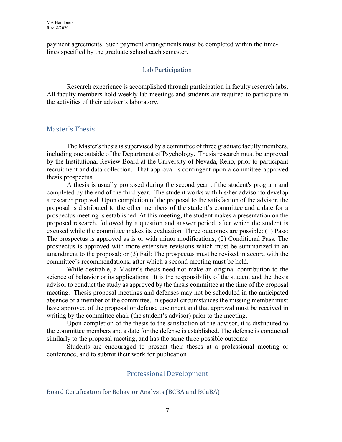payment agreements. Such payment arrangements must be completed within the timelines specified by the graduate school each semester.

## Lab Participation

Research experience is accomplished through participation in faculty research labs. All faculty members hold weekly lab meetings and students are required to participate in the activities of their adviser's laboratory.

## Master's Thesis

The Master's thesis is supervised by a committee of three graduate faculty members, including one outside of the Department of Psychology. Thesis research must be approved by the Institutional Review Board at the University of Nevada, Reno, prior to participant recruitment and data collection. That approval is contingent upon a committee-approved thesis prospectus.

A thesis is usually proposed during the second year of the student's program and completed by the end of the third year. The student works with his/her advisor to develop a research proposal. Upon completion of the proposal to the satisfaction of the advisor, the proposal is distributed to the other members of the student's committee and a date for a prospectus meeting is established. At this meeting, the student makes a presentation on the proposed research, followed by a question and answer period, after which the student is excused while the committee makes its evaluation. Three outcomes are possible: (1) Pass: The prospectus is approved as is or with minor modifications; (2) Conditional Pass: The prospectus is approved with more extensive revisions which must be summarized in an amendment to the proposal; or (3) Fail: The prospectus must be revised in accord with the committee's recommendations, after which a second meeting must be held.

 While desirable, a Master's thesis need not make an original contribution to the science of behavior or its applications. It is the responsibility of the student and the thesis advisor to conduct the study as approved by the thesis committee at the time of the proposal meeting. Thesis proposal meetings and defenses may not be scheduled in the anticipated absence of a member of the committee. In special circumstances the missing member must have approved of the proposal or defense document and that approval must be received in writing by the committee chair (the student's advisor) prior to the meeting.

Upon completion of the thesis to the satisfaction of the advisor, it is distributed to the committee members and a date for the defense is established. The defense is conducted similarly to the proposal meeting, and has the same three possible outcome

Students are encouraged to present their theses at a professional meeting or conference, and to submit their work for publication

## Professional Development

#### Board Certification for Behavior Analysts (BCBA and BCaBA)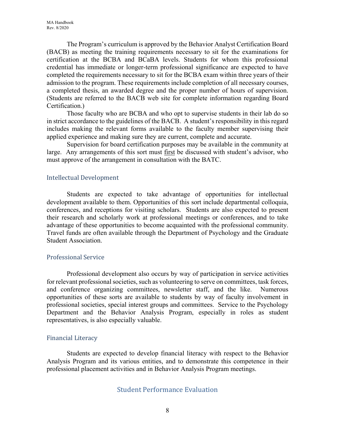The Program's curriculum is approved by the Behavior Analyst Certification Board (BACB) as meeting the training requirements necessary to sit for the examinations for certification at the BCBA and BCaBA levels. Students for whom this professional credential has immediate or longer-term professional significance are expected to have completed the requirements necessary to sit for the BCBA exam within three years of their admission to the program. These requirements include completion of all necessary courses, a completed thesis, an awarded degree and the proper number of hours of supervision. (Students are referred to the BACB web site for complete information regarding Board Certification.)

Those faculty who are BCBA and who opt to supervise students in their lab do so in strict accordance to the guidelines of the BACB. A student's responsibility in this regard includes making the relevant forms available to the faculty member supervising their applied experience and making sure they are current, complete and accurate.

Supervision for board certification purposes may be available in the community at large. Any arrangements of this sort must first be discussed with student's advisor, who must approve of the arrangement in consultation with the BATC.

## Intellectual Development

Students are expected to take advantage of opportunities for intellectual development available to them. Opportunities of this sort include departmental colloquia, conferences, and receptions for visiting scholars. Students are also expected to present their research and scholarly work at professional meetings or conferences, and to take advantage of these opportunities to become acquainted with the professional community. Travel funds are often available through the Department of Psychology and the Graduate Student Association.

## Professional Service

Professional development also occurs by way of participation in service activities for relevant professional societies, such as volunteering to serve on committees, task forces, and conference organizing committees, newsletter staff, and the like. Numerous opportunities of these sorts are available to students by way of faculty involvement in professional societies, special interest groups and committees. Service to the Psychology Department and the Behavior Analysis Program, especially in roles as student representatives, is also especially valuable.

## Financial Literacy

Students are expected to develop financial literacy with respect to the Behavior Analysis Program and its various entities, and to demonstrate this competence in their professional placement activities and in Behavior Analysis Program meetings.

## Student Performance Evaluation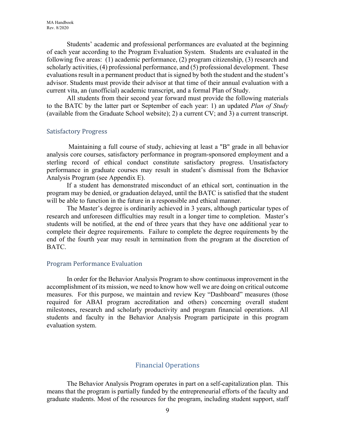Students' academic and professional performances are evaluated at the beginning of each year according to the Program Evaluation System. Students are evaluated in the following five areas: (1) academic performance, (2) program citizenship, (3) research and scholarly activities, (4) professional performance, and (5) professional development. These evaluations result in a permanent product that is signed by both the student and the student's advisor. Students must provide their advisor at that time of their annual evaluation with a current vita, an (unofficial) academic transcript, and a formal Plan of Study.

All students from their second year forward must provide the following materials to the BATC by the latter part or September of each year: 1) an updated *Plan of Study* (available from the Graduate School website); 2) a current CV; and 3) a current transcript.

#### Satisfactory Progress

 Maintaining a full course of study, achieving at least a "B" grade in all behavior analysis core courses, satisfactory performance in program-sponsored employment and a sterling record of ethical conduct constitute satisfactory progress. Unsatisfactory performance in graduate courses may result in student's dismissal from the Behavior Analysis Program (see Appendix E).

If a student has demonstrated misconduct of an ethical sort, continuation in the program may be denied, or graduation delayed, until the BATC is satisfied that the student will be able to function in the future in a responsible and ethical manner.

The Master's degree is ordinarily achieved in 3 years, although particular types of research and unforeseen difficulties may result in a longer time to completion. Master's students will be notified, at the end of three years that they have one additional year to complete their degree requirements. Failure to complete the degree requirements by the end of the fourth year may result in termination from the program at the discretion of BATC.

#### Program Performance Evaluation

In order for the Behavior Analysis Program to show continuous improvement in the accomplishment of its mission, we need to know how well we are doing on critical outcome measures. For this purpose, we maintain and review Key "Dashboard" measures (those required for ABAI program accreditation and others) concerning overall student milestones, research and scholarly productivity and program financial operations. All students and faculty in the Behavior Analysis Program participate in this program evaluation system.

## Financial Operations

The Behavior Analysis Program operates in part on a self-capitalization plan. This means that the program is partially funded by the entrepreneurial efforts of the faculty and graduate students. Most of the resources for the program, including student support, staff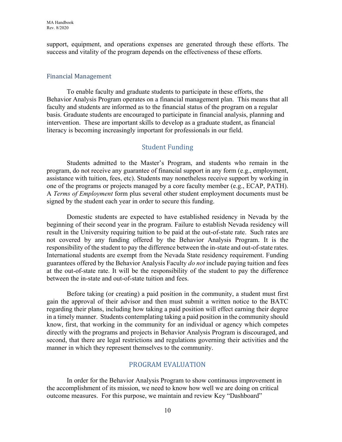support, equipment, and operations expenses are generated through these efforts. The success and vitality of the program depends on the effectiveness of these efforts.

#### Financial Management

 To enable faculty and graduate students to participate in these efforts, the Behavior Analysis Program operates on a financial management plan. This means that all faculty and students are informed as to the financial status of the program on a regular basis. Graduate students are encouraged to participate in financial analysis, planning and intervention. These are important skills to develop as a graduate student, as financial literacy is becoming increasingly important for professionals in our field.

# Student Funding

Students admitted to the Master's Program, and students who remain in the program, do not receive any guarantee of financial support in any form (e.g., employment, assistance with tuition, fees, etc). Students may nonetheless receive support by working in one of the programs or projects managed by a core faculty member (e.g., ECAP, PATH). A *Terms of Employment* form plus several other student employment documents must be signed by the student each year in order to secure this funding.

Domestic students are expected to have established residency in Nevada by the beginning of their second year in the program. Failure to establish Nevada residency will result in the University requiring tuition to be paid at the out-of-state rate. Such rates are not covered by any funding offered by the Behavior Analysis Program. It is the responsibility of the student to pay the difference between the in-state and out-of-state rates. International students are exempt from the Nevada State residency requirement. Funding guarantees offered by the Behavior Analysis Faculty *do not* include paying tuition and fees at the out-of-state rate. It will be the responsibility of the student to pay the difference between the in-state and out-of-state tuition and fees.

Before taking (or creating) a paid position in the community, a student must first gain the approval of their advisor and then must submit a written notice to the BATC regarding their plans, including how taking a paid position will effect earning their degree in a timely manner. Students contemplating taking a paid position in the community should know, first, that working in the community for an individual or agency which competes directly with the programs and projects in Behavior Analysis Program is discouraged, and second, that there are legal restrictions and regulations governing their activities and the manner in which they represent themselves to the community.

## PROGRAM EVALUATION

 In order for the Behavior Analysis Program to show continuous improvement in the accomplishment of its mission, we need to know how well we are doing on critical outcome measures. For this purpose, we maintain and review Key "Dashboard"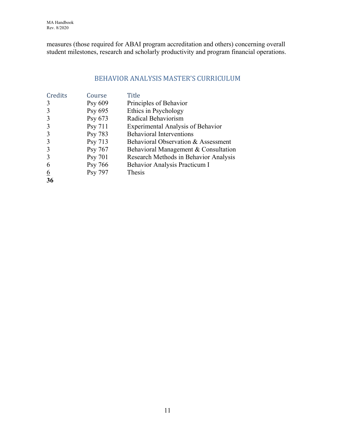MA Handbook Rev. 8/2020

measures (those required for ABAI program accreditation and others) concerning overall student milestones, research and scholarly productivity and program financial operations.

# BEHAVIOR ANALYSIS MASTER'S CURRICULUM

| Credits  | Course  | <b>Title</b>                             |
|----------|---------|------------------------------------------|
| 3        | Psy 609 | Principles of Behavior                   |
| 3        | Psy 695 | Ethics in Psychology                     |
| 3        | Psy 673 | Radical Behaviorism                      |
| 3        | Psy 711 | <b>Experimental Analysis of Behavior</b> |
| 3        | Psy 783 | <b>Behavioral Interventions</b>          |
| 3        | Psy 713 | Behavioral Observation & Assessment      |
| 3        | Psy 767 | Behavioral Management & Consultation     |
| 3        | Psy 701 | Research Methods in Behavior Analysis    |
| 6        | Psy 766 | Behavior Analysis Practicum I            |
| <u>6</u> | Psy 797 | Thesis                                   |
| 36       |         |                                          |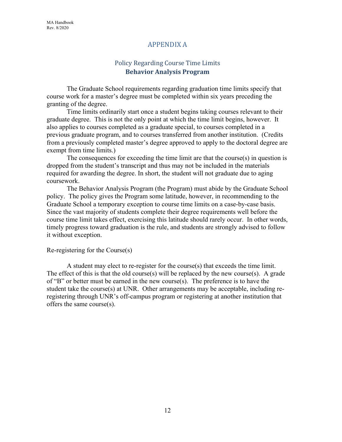## APPENDIX A

# Policy Regarding Course Time Limits **Behavior Analysis Program**

The Graduate School requirements regarding graduation time limits specify that course work for a master's degree must be completed within six years preceding the granting of the degree.

Time limits ordinarily start once a student begins taking courses relevant to their graduate degree. This is not the only point at which the time limit begins, however. It also applies to courses completed as a graduate special, to courses completed in a previous graduate program, and to courses transferred from another institution. (Credits from a previously completed master's degree approved to apply to the doctoral degree are exempt from time limits.)

The consequences for exceeding the time limit are that the course(s) in question is dropped from the student's transcript and thus may not be included in the materials required for awarding the degree. In short, the student will not graduate due to aging coursework.

 The Behavior Analysis Program (the Program) must abide by the Graduate School policy. The policy gives the Program some latitude, however, in recommending to the Graduate School a temporary exception to course time limits on a case-by-case basis. Since the vast majority of students complete their degree requirements well before the course time limit takes effect, exercising this latitude should rarely occur. In other words, timely progress toward graduation is the rule, and students are strongly advised to follow it without exception.

#### Re-registering for the Course(s)

 A student may elect to re-register for the course(s) that exceeds the time limit. The effect of this is that the old course(s) will be replaced by the new course(s). A grade of "B" or better must be earned in the new course(s). The preference is to have the student take the course(s) at UNR. Other arrangements may be acceptable, including reregistering through UNR's off-campus program or registering at another institution that offers the same course(s).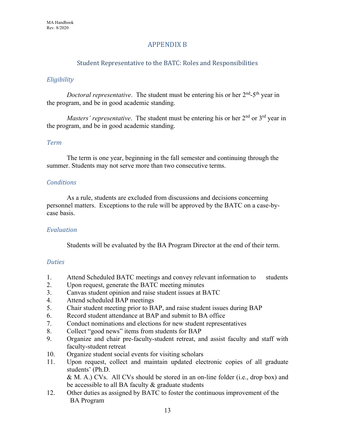# APPENDIX B

## Student Representative to the BATC: Roles and Responsibilities

## *Eligibility*

*Doctoral representative*. The student must be entering his or her 2<sup>nd</sup>-5<sup>th</sup> year in the program, and be in good academic standing.

*Masters' representative*. The student must be entering his or her 2<sup>nd</sup> or 3<sup>rd</sup> vear in the program, and be in good academic standing.

## *Term*

 The term is one year, beginning in the fall semester and continuing through the summer. Students may not serve more than two consecutive terms.

## *Conditions*

As a rule, students are excluded from discussions and decisions concerning personnel matters. Exceptions to the rule will be approved by the BATC on a case-bycase basis.

## *Evaluation*

Students will be evaluated by the BA Program Director at the end of their term.

## *Duties*

- 1. Attend Scheduled BATC meetings and convey relevant information to students
- 2. Upon request, generate the BATC meeting minutes
- 3. Canvas student opinion and raise student issues at BATC
- 4. Attend scheduled BAP meetings
- 5. Chair student meeting prior to BAP, and raise student issues during BAP
- 6. Record student attendance at BAP and submit to BA office
- 7. Conduct nominations and elections for new student representatives
- 8. Collect "good news" items from students for BAP
- 9. Organize and chair pre-faculty-student retreat, and assist faculty and staff with faculty-student retreat
- 10. Organize student social events for visiting scholars
- 11. Upon request, collect and maintain updated electronic copies of all graduate students' (Ph.D.

& M. A.) CVs. All CVs should be stored in an on-line folder (i.e., drop box) and be accessible to all BA faculty  $&$  graduate students

12. Other duties as assigned by BATC to foster the continuous improvement of the BA Program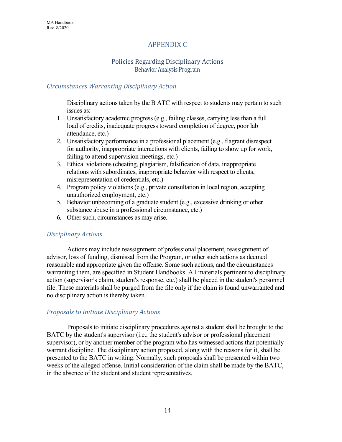# APPENDIX C

## Policies Regarding Disciplinary Actions Behavior Analysis Program

## *Circumstances Warranting Disciplinary Action*

Disciplinary actions taken by the B ATC with respect to students may pertain to such issues as:

- 1. Unsatisfactory academic progress (e.g., failing classes, carrying less than a full load of credits, inadequate progress toward completion of degree, poor lab attendance, etc.)
- 2. Unsatisfactory performance in a professional placement (e.g., flagrant disrespect for authority, inappropriate interactions with clients, failing to show up for work, failing to attend supervision meetings, etc.)
- 3. Ethical violations (cheating, plagiarism, falsification of data, inappropriate relations with subordinates, inappropriate behavior with respect to clients, misrepresentation of credentials, etc.)
- 4. Program policy violations (e.g., private consultation in local region, accepting unauthorized employment, etc.)
- 5. Behavior unbecoming of a graduate student (e.g., excessive drinking or other substance abuse in a professional circumstance, etc.)
- 6. Other such, circumstances as may arise.

## *Disciplinary Actions*

Actions may include reassignment of professional placement, reassignment of advisor, loss of funding, dismissal from the Program, or other such actions as deemed reasonable and appropriate given the offense. Some such actions, and the circumstances warranting them, are specified in Student Handbooks. All materials pertinent to disciplinary action (supervisor's claim, student's response, etc.) shall be placed in the student's personnel file. These materials shall be purged from the file only if the claim is found unwarranted and no disciplinary action is thereby taken.

## *Proposals to Initiate Disciplinary Actions*

Proposals to initiate disciplinary procedures against a student shall be brought to the BATC by the student's supervisor (i.e., the student's advisor or professional placement supervisor), or by another member of the program who has witnessed actions that potentially warrant discipline. The disciplinary action proposed, along with the reasons for it, shall be presented to the BATC in writing. Normally, such proposals shall be presented within two weeks of the alleged offense. Initial consideration of the claim shall be made by the BATC, in the absence of the student and student representatives.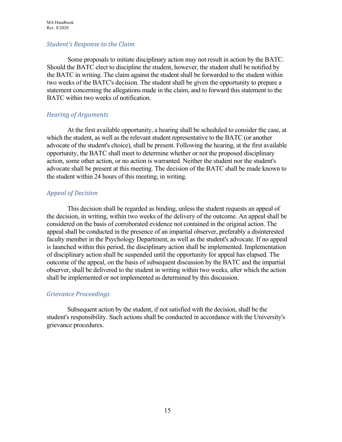## *Student's Response to the Claim*

Some proposals to initiate disciplinary action may not result in action by the BATC. Should the BATC elect to discipline the student, however, the student shall be notified by the BATC in writing. The claim against the student shall be forwarded to the student within two weeks of the BATC's decision. The student shall be given the opportunity to prepare a statement concerning the allegations made in the claim, and to forward this statement to the BATC within two weeks of notification.

## *Hearing of Arguments*

At the first available opportunity, a hearing shall be scheduled to consider the case, at which the student, as well as the relevant student representative to the BATC (or another advocate of the student's choice), shall be present. Following the hearing, at the first available opportunity, the BATC shall meet to determine whether or not the proposed disciplinary action, some other action, or no action is warranted. Neither the student nor the student's advocate shall be present at this meeting. The decision of the BATC shall be made known to the student within 24 hours of this meeting, in writing.

# *Appeal of Decision*

This decision shall be regarded as binding, unless the student requests an appeal of the decision, in writing, within two weeks of the delivery of the outcome. An appeal shall be considered on the basis of corroborated evidence not contained in the original action. The appeal shall be conducted in the presence of an impartial observer, preferably a disinterested faculty member in the Psychology Department, as well as the student's advocate. If no appeal is launched within this period, the disciplinary action shall be implemented. Implementation of disciplinary action shall be suspended until the opportunity for appeal has elapsed. The outcome of the appeal, on the basis of subsequent discussion by the BATC and the impartial observer, shall be delivered to the student in writing within two weeks, after which the action shall be implemented or not implemented as determined by this discussion.

## *Grievance Proceedings*

Subsequent action by the student, if not satisfied with the decision, shall be the student's responsibility. Such actions shall be conducted in accordance with the University's grievance procedures.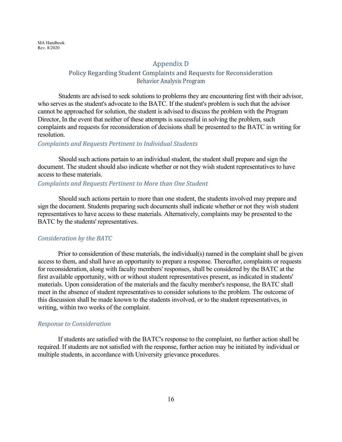MA Handbook Rev. 8/2020

#### Appendix D

## Policy Regarding Student Complaints and Requests for Reconsideration Behavior Analysis Program

Students are advised to seek solutions to problems they are encountering first with their advisor, who serves as the student's advocate to the BATC. If the student's problem is such that the advisor cannot be approached for solution, the student is advised to discuss the problem with the Program Director, In the event that neither of these attempts is successful in solving the problem, such complaints and requests for reconsideration of decisions shall be presented to the BATC in writing for resolution.

#### *Complaints and Requests Pertinent to Individual Students*

Should such actions pertain to an individual student, the student shall prepare and sign the document. The student should also indicate whether or not they wish student representatives to have access to these materials.

#### *Complaints and Requests Pertinent to More than One Student*

Should such actions pertain to more than one student, the students involved may prepare and sign the document. Students preparing such documents shall indicate whether or not they wish student representatives to have access to these materials. Alternatively, complaints may be presented to the BATC by the students' representatives.

#### *Consideration by the BATC*

Prior to consideration of these materials, the individual(s) named in the complaint shall be given access to them, and shall have an opportunity to prepare a response. Thereafter, complaints or requests for reconsideration, along with faculty members' responses, shall be considered by the BATC at the first available opportunity, with or without student representatives present, as indicated in students' materials. Upon consideration of the materials and the faculty member's response, the BATC shall meet in the absence of student representatives to consider solutions to the problem. The outcome of this discussion shall be made known to the students involved, or to the student representatives, in writing, within two weeks of the complaint.

#### *Response to Consideration*

If students are satisfied with the BATC's response to the complaint, no further action shall be required. If students are not satisfied with the response, further action may be initiated by individual or multiple students, in accordance with University grievance procedures.